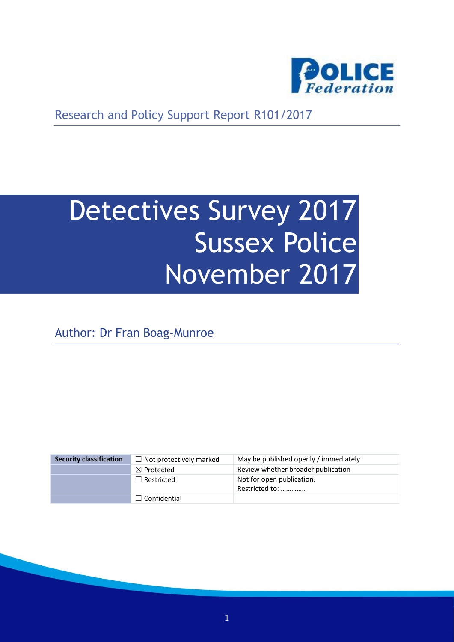

Research and Policy Support Report R101/2017

# Detectives Survey 2017 Sussex Police November 2017

Author: Dr Fran Boag-Munroe

| <b>Security classification</b> | $\Box$ Not protectively marked | May be published openly / immediately       |
|--------------------------------|--------------------------------|---------------------------------------------|
|                                | $\boxtimes$ Protected          | Review whether broader publication          |
|                                | $\Box$ Restricted              | Not for open publication.<br>Restricted to: |
|                                | $\Box$ Confidential            |                                             |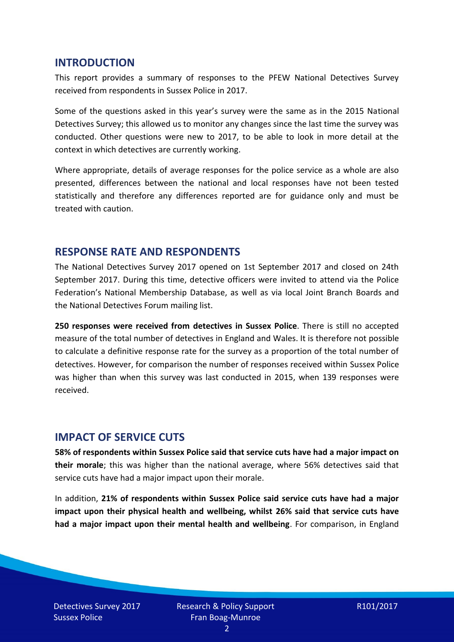#### **INTRODUCTION**

This report provides a summary of responses to the PFEW National Detectives Survey received from respondents in Sussex Police in 2017.

Some of the questions asked in this year's survey were the same as in the 2015 National Detectives Survey; this allowed us to monitor any changes since the last time the survey was conducted. Other questions were new to 2017, to be able to look in more detail at the context in which detectives are currently working.

Where appropriate, details of average responses for the police service as a whole are also presented, differences between the national and local responses have not been tested statistically and therefore any differences reported are for guidance only and must be treated with caution.

#### **RESPONSE RATE AND RESPONDENTS**

The National Detectives Survey 2017 opened on 1st September 2017 and closed on 24th September 2017. During this time, detective officers were invited to attend via the Police Federation's National Membership Database, as well as via local Joint Branch Boards and the National Detectives Forum mailing list.

**250 responses were received from detectives in Sussex Police**. There is still no accepted measure of the total number of detectives in England and Wales. It is therefore not possible to calculate a definitive response rate for the survey as a proportion of the total number of detectives. However, for comparison the number of responses received within Sussex Police was higher than when this survey was last conducted in 2015, when 139 responses were received.

#### **IMPACT OF SERVICE CUTS**

**58% of respondents within Sussex Police said that service cuts have had a major impact on their morale**; this was higher than the national average, where 56% detectives said that service cuts have had a major impact upon their morale.

In addition, **21% of respondents within Sussex Police said service cuts have had a major impact upon their physical health and wellbeing, whilst 26% said that service cuts have had a major impact upon their mental health and wellbeing**. For comparison, in England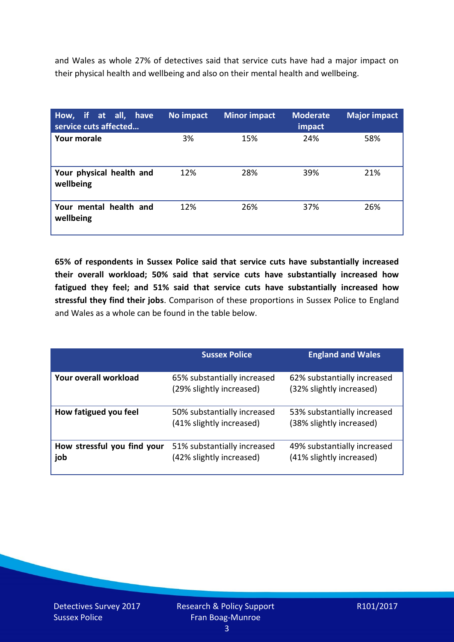and Wales as whole 27% of detectives said that service cuts have had a major impact on their physical health and wellbeing and also on their mental health and wellbeing.

| How, if at all, have<br>service cuts affected | No impact | <b>Minor impact</b> | <b>Moderate</b><br>impact | <b>Major impact</b> |
|-----------------------------------------------|-----------|---------------------|---------------------------|---------------------|
| Your morale                                   | 3%        | 15%                 | 24%                       | 58%                 |
| Your physical health and<br>wellbeing         | 12%       | 28%                 | 39%                       | 21%                 |
| Your mental health and<br>wellbeing           | 12%       | 26%                 | 37%                       | 26%                 |

**65% of respondents in Sussex Police said that service cuts have substantially increased their overall workload; 50% said that service cuts have substantially increased how fatigued they feel; and 51% said that service cuts have substantially increased how stressful they find their jobs**. Comparison of these proportions in Sussex Police to England and Wales as a whole can be found in the table below.

|                                    | <b>Sussex Police</b>                                    | <b>England and Wales</b>                                |
|------------------------------------|---------------------------------------------------------|---------------------------------------------------------|
| Your overall workload              | 65% substantially increased<br>(29% slightly increased) | 62% substantially increased<br>(32% slightly increased) |
| How fatigued you feel              | 50% substantially increased<br>(41% slightly increased) | 53% substantially increased<br>(38% slightly increased) |
| How stressful you find your<br>job | 51% substantially increased<br>(42% slightly increased) | 49% substantially increased<br>(41% slightly increased) |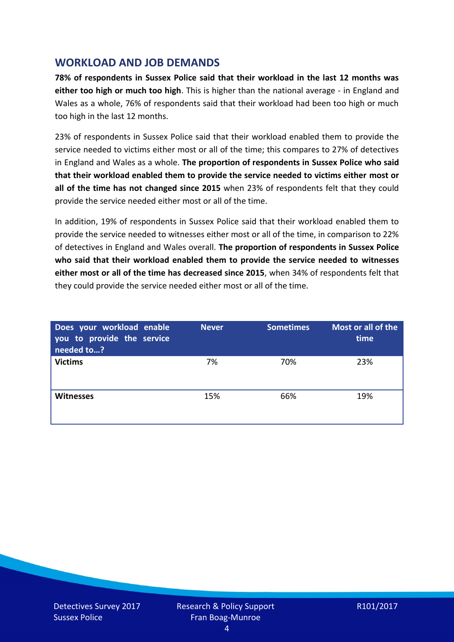## **WORKLOAD AND JOB DEMANDS**

**78% of respondents in Sussex Police said that their workload in the last 12 months was either too high or much too high**. This is higher than the national average - in England and Wales as a whole, 76% of respondents said that their workload had been too high or much too high in the last 12 months.

23% of respondents in Sussex Police said that their workload enabled them to provide the service needed to victims either most or all of the time; this compares to 27% of detectives in England and Wales as a whole. **The proportion of respondents in Sussex Police who said that their workload enabled them to provide the service needed to victims either most or all of the time has not changed since 2015** when 23% of respondents felt that they could provide the service needed either most or all of the time.

In addition, 19% of respondents in Sussex Police said that their workload enabled them to provide the service needed to witnesses either most or all of the time, in comparison to 22% of detectives in England and Wales overall. **The proportion of respondents in Sussex Police who said that their workload enabled them to provide the service needed to witnesses either most or all of the time has decreased since 2015**, when 34% of respondents felt that they could provide the service needed either most or all of the time.

| Does your workload enable<br>you to provide the service<br>needed to? | <b>Never</b> | <b>Sometimes</b> | Most or all of the<br>time |
|-----------------------------------------------------------------------|--------------|------------------|----------------------------|
| <b>Victims</b>                                                        | 7%           | 70%              | 23%                        |
| <b>Witnesses</b>                                                      | 15%          | 66%              | 19%                        |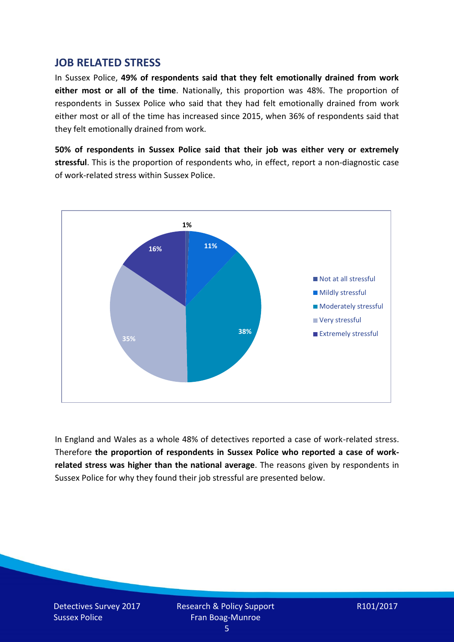#### **JOB RELATED STRESS**

In Sussex Police, **49% of respondents said that they felt emotionally drained from work either most or all of the time**. Nationally, this proportion was 48%. The proportion of respondents in Sussex Police who said that they had felt emotionally drained from work either most or all of the time has increased since 2015, when 36% of respondents said that they felt emotionally drained from work.

**50% of respondents in Sussex Police said that their job was either very or extremely stressful**. This is the proportion of respondents who, in effect, report a non-diagnostic case of work-related stress within Sussex Police.



In England and Wales as a whole 48% of detectives reported a case of work-related stress. Therefore **the proportion of respondents in Sussex Police who reported a case of workrelated stress was higher than the national average**. The reasons given by respondents in Sussex Police for why they found their job stressful are presented below.

$$
R101/2017
$$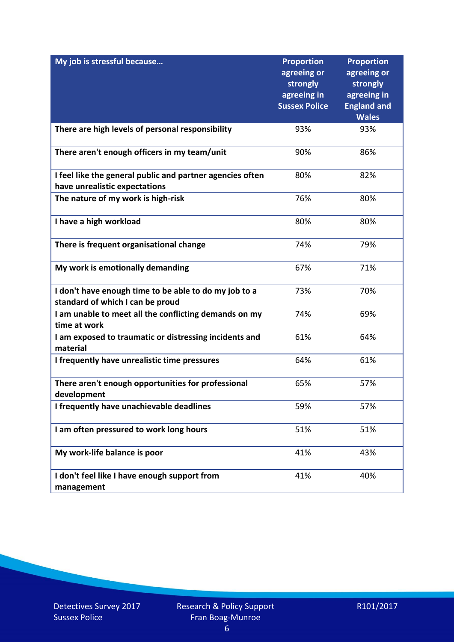| My job is stressful because                                                                | <b>Proportion</b><br>agreeing or<br>strongly<br>agreeing in<br><b>Sussex Police</b> | <b>Proportion</b><br>agreeing or<br>strongly<br>agreeing in<br><b>England and</b><br><b>Wales</b> |
|--------------------------------------------------------------------------------------------|-------------------------------------------------------------------------------------|---------------------------------------------------------------------------------------------------|
| There are high levels of personal responsibility                                           | 93%                                                                                 | 93%                                                                                               |
| There aren't enough officers in my team/unit                                               | 90%                                                                                 | 86%                                                                                               |
| I feel like the general public and partner agencies often<br>have unrealistic expectations | 80%                                                                                 | 82%                                                                                               |
| The nature of my work is high-risk                                                         | 76%                                                                                 | 80%                                                                                               |
| I have a high workload                                                                     | 80%                                                                                 | 80%                                                                                               |
| There is frequent organisational change                                                    | 74%                                                                                 | 79%                                                                                               |
| My work is emotionally demanding                                                           | 67%                                                                                 | 71%                                                                                               |
| I don't have enough time to be able to do my job to a<br>standard of which I can be proud  | 73%                                                                                 | 70%                                                                                               |
| I am unable to meet all the conflicting demands on my<br>time at work                      | 74%                                                                                 | 69%                                                                                               |
| I am exposed to traumatic or distressing incidents and<br>material                         | 61%                                                                                 | 64%                                                                                               |
| I frequently have unrealistic time pressures                                               | 64%                                                                                 | 61%                                                                                               |
| There aren't enough opportunities for professional<br>development                          | 65%                                                                                 | 57%                                                                                               |
| I frequently have unachievable deadlines                                                   | 59%                                                                                 | 57%                                                                                               |
| I am often pressured to work long hours                                                    | 51%                                                                                 | 51%                                                                                               |
| My work-life balance is poor                                                               | 41%                                                                                 | 43%                                                                                               |
| I don't feel like I have enough support from<br>management                                 | 41%                                                                                 | 40%                                                                                               |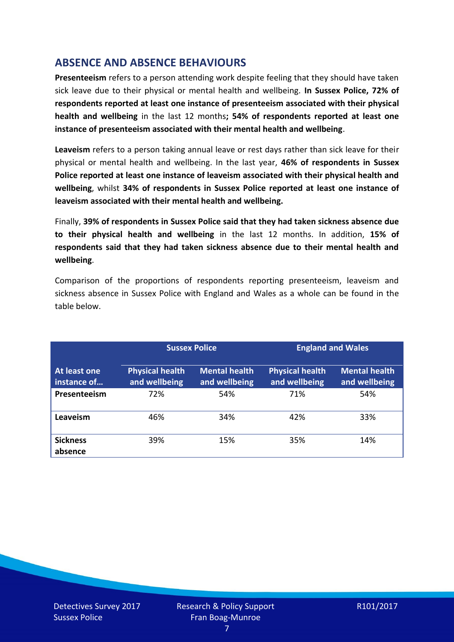## **ABSENCE AND ABSENCE BEHAVIOURS**

**Presenteeism** refers to a person attending work despite feeling that they should have taken sick leave due to their physical or mental health and wellbeing. **In Sussex Police, 72% of respondents reported at least one instance of presenteeism associated with their physical health and wellbeing** in the last 12 months**; 54% of respondents reported at least one instance of presenteeism associated with their mental health and wellbeing**.

**Leaveism** refers to a person taking annual leave or rest days rather than sick leave for their physical or mental health and wellbeing. In the last year, **46% of respondents in Sussex Police reported at least one instance of leaveism associated with their physical health and wellbeing**, whilst **34% of respondents in Sussex Police reported at least one instance of leaveism associated with their mental health and wellbeing.**

Finally, **39% of respondents in Sussex Police said that they had taken sickness absence due to their physical health and wellbeing** in the last 12 months. In addition, **15% of respondents said that they had taken sickness absence due to their mental health and wellbeing**.

Comparison of the proportions of respondents reporting presenteeism, leaveism and sickness absence in Sussex Police with England and Wales as a whole can be found in the table below.

|                             | <b>Sussex Police</b>                    |                                       | <b>England and Wales</b>                |                                       |
|-----------------------------|-----------------------------------------|---------------------------------------|-----------------------------------------|---------------------------------------|
| At least one<br>instance of | <b>Physical health</b><br>and wellbeing | <b>Mental health</b><br>and wellbeing | <b>Physical health</b><br>and wellbeing | <b>Mental health</b><br>and wellbeing |
| Presenteeism                | 72%                                     | 54%                                   | 71%                                     | 54%                                   |
| Leaveism                    | 46%                                     | 34%                                   | 42%                                     | 33%                                   |
| <b>Sickness</b><br>absence  | 39%                                     | 15%                                   | 35%                                     | 14%                                   |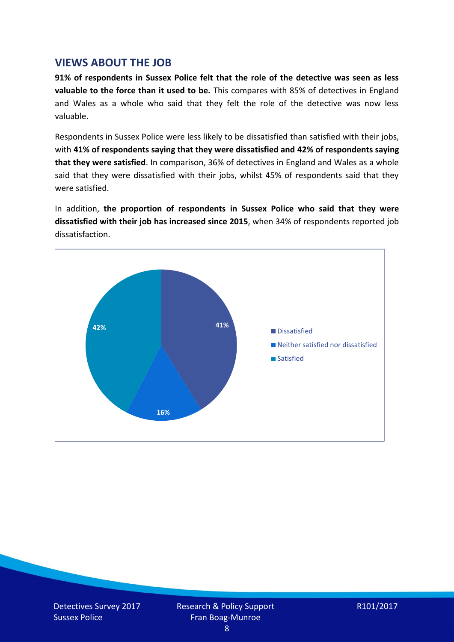### **VIEWS ABOUT THE JOB**

**91% of respondents in Sussex Police felt that the role of the detective was seen as less valuable to the force than it used to be.** This compares with 85% of detectives in England and Wales as a whole who said that they felt the role of the detective was now less valuable.

Respondents in Sussex Police were less likely to be dissatisfied than satisfied with their jobs, with **41% of respondents saying that they were dissatisfied and 42% of respondents saying that they were satisfied**. In comparison, 36% of detectives in England and Wales as a whole said that they were dissatisfied with their jobs, whilst 45% of respondents said that they were satisfied.

In addition, **the proportion of respondents in Sussex Police who said that they were dissatisfied with their job has increased since 2015**, when 34% of respondents reported job dissatisfaction.

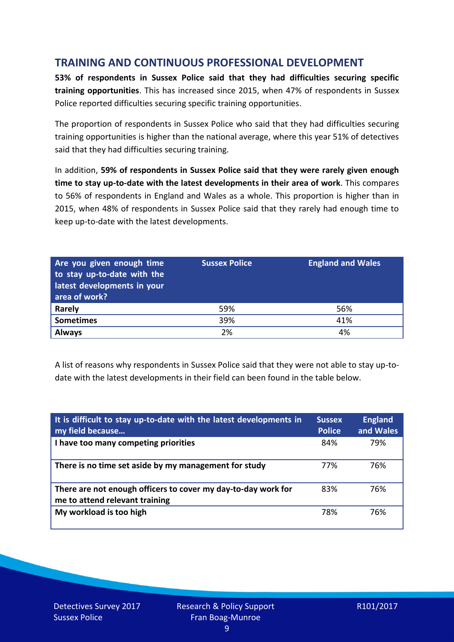## **TRAINING AND CONTINUOUS PROFESSIONAL DEVELOPMENT**

**53% of respondents in Sussex Police said that they had difficulties securing specific training opportunities**. This has increased since 2015, when 47% of respondents in Sussex Police reported difficulties securing specific training opportunities.

The proportion of respondents in Sussex Police who said that they had difficulties securing training opportunities is higher than the national average, where this year 51% of detectives said that they had difficulties securing training.

In addition, **59% of respondents in Sussex Police said that they were rarely given enough time to stay up-to-date with the latest developments in their area of work**. This compares to 56% of respondents in England and Wales as a whole. This proportion is higher than in 2015, when 48% of respondents in Sussex Police said that they rarely had enough time to keep up-to-date with the latest developments.

| Are you given enough time<br>to stay up-to-date with the<br>latest developments in your<br>area of work? | <b>Sussex Police</b> | <b>England and Wales</b> |
|----------------------------------------------------------------------------------------------------------|----------------------|--------------------------|
| <b>Rarely</b>                                                                                            | 59%                  | 56%                      |
| <b>Sometimes</b>                                                                                         | 39%                  | 41%                      |
| <b>Always</b>                                                                                            | 2%                   | 4%                       |

A list of reasons why respondents in Sussex Police said that they were not able to stay up-todate with the latest developments in their field can been found in the table below.

| It is difficult to stay up-to-date with the latest developments in<br>my field because          | <b>Sussex</b><br><b>Police</b> | <b>England</b><br>and Wales |
|-------------------------------------------------------------------------------------------------|--------------------------------|-----------------------------|
| I have too many competing priorities                                                            | 84%                            | 79%                         |
| There is no time set aside by my management for study                                           | 77%                            | 76%                         |
| There are not enough officers to cover my day-to-day work for<br>me to attend relevant training | 83%                            | 76%                         |
| My workload is too high                                                                         | 78%                            | 76%                         |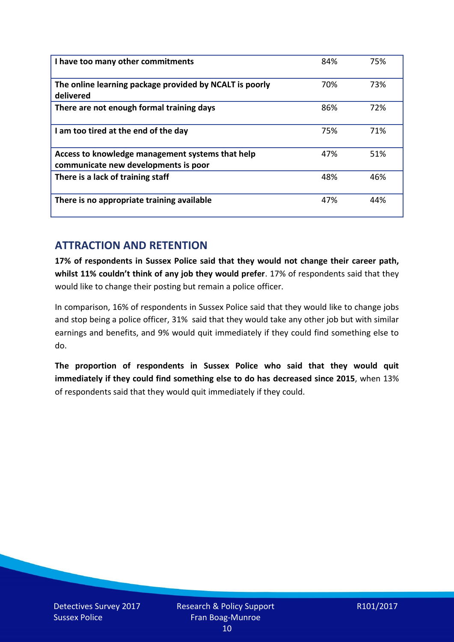| I have too many other commitments                                                        | 84% | 75% |
|------------------------------------------------------------------------------------------|-----|-----|
| The online learning package provided by NCALT is poorly<br>delivered                     | 70% | 73% |
| There are not enough formal training days                                                | 86% | 72% |
| I am too tired at the end of the day                                                     | 75% | 71% |
| Access to knowledge management systems that help<br>communicate new developments is poor | 47% | 51% |
| There is a lack of training staff                                                        | 48% | 46% |
| There is no appropriate training available                                               | 47% | 44% |

## **ATTRACTION AND RETENTION**

**17% of respondents in Sussex Police said that they would not change their career path, whilst 11% couldn't think of any job they would prefer**. 17% of respondents said that they would like to change their posting but remain a police officer.

In comparison, 16% of respondents in Sussex Police said that they would like to change jobs and stop being a police officer, 31% said that they would take any other job but with similar earnings and benefits, and 9% would quit immediately if they could find something else to do.

**The proportion of respondents in Sussex Police who said that they would quit immediately if they could find something else to do has decreased since 2015**, when 13% of respondents said that they would quit immediately if they could.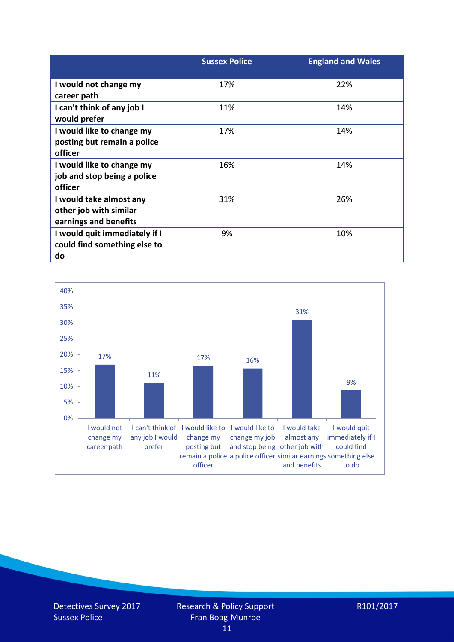|                               | <b>Sussex Police</b> | <b>England and Wales</b> |
|-------------------------------|----------------------|--------------------------|
| I would not change my         | 17%                  | 22%                      |
| career path                   |                      |                          |
| I can't think of any job I    | 11%                  | 14%                      |
| would prefer                  |                      |                          |
| I would like to change my     | 17%                  | 14%                      |
| posting but remain a police   |                      |                          |
| officer                       |                      |                          |
| I would like to change my     | 16%                  | 14%                      |
| job and stop being a police   |                      |                          |
| officer                       |                      |                          |
| I would take almost any       | 31%                  | 26%                      |
| other job with similar        |                      |                          |
| earnings and benefits         |                      |                          |
| I would quit immediately if I | 9%                   | 10%                      |
| could find something else to  |                      |                          |
| do                            |                      |                          |